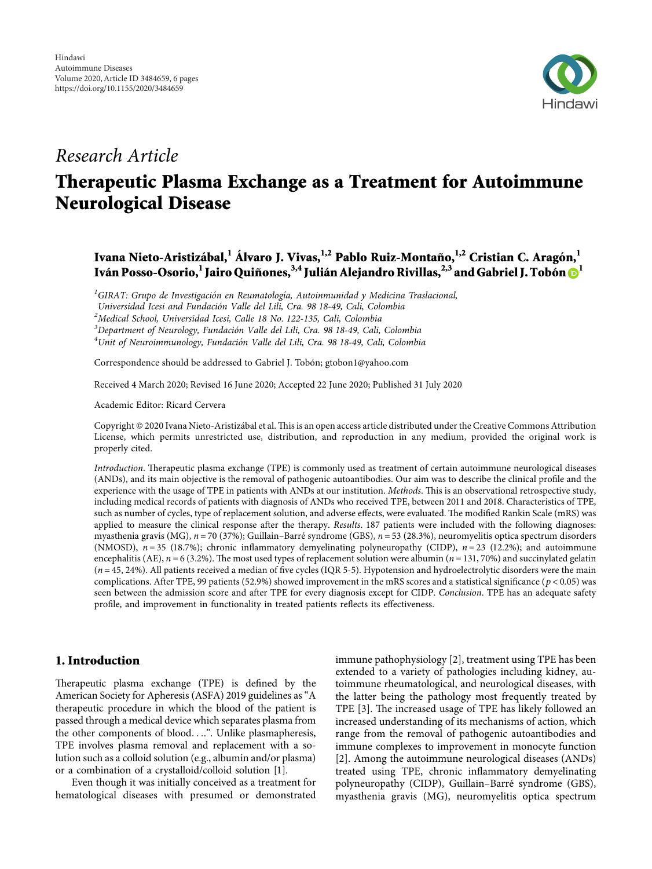

## *Research Article*

# **Therapeutic Plasma Exchange as a Treatment for Autoimmune Neurological Disease**

### Ivana Nieto-Aristizábal,<sup>1</sup> Álvaro J. Vivas,<sup>1,2</sup> Pablo Ruiz-Montaño,<sup>1,2</sup> Cristian C. Aragón,<sup>1</sup> **Iva´n Posso-Osorio,1 Jairo Quiñones,3,4 Julia´n Alejandro Rivillas,2,3 and Gabriel J. Tobo´n <sup>1</sup>**

<sup>1</sup>GIRAT: Grupo de Investigación en Reumatología, Autoinmunidad y Medicina Traslacional,

*Universidad Icesi and Fundaci´on Valle del Lili, Cra. 98 18-49, Cali, Colombia <sup>2</sup>*

*Medical School, Universidad Icesi, Calle 18 No. 122-135, Cali, Colombia*

*3 Department of Neurology, Fundacio´n Valle del Lili, Cra. 98 18-49, Cali, Colombia <sup>4</sup>*

<sup>4</sup> Unit of Neuroimmunology, Fundación Valle del Lili, Cra. 98 18-49, Cali, Colombia

Correspondence should be addressed to Gabriel J. Tobón; [gtobon1@yahoo.com](mailto:gtobon1@yahoo.com)

Received 4 March 2020; Revised 16 June 2020; Accepted 22 June 2020; Published 31 July 2020

Academic Editor: Ricard Cervera

Copyright © 2020 Ivana Nieto-Aristizábal et al. This is an open access article distributed under the [Creative Commons Attribution](https://creativecommons.org/licenses/by/4.0/) [License,](https://creativecommons.org/licenses/by/4.0/) which permits unrestricted use, distribution, and reproduction in any medium, provided the original work is properly cited.

*Introduction*. Therapeutic plasma exchange (TPE) is commonly used as treatment of certain autoimmune neurological diseases (ANDs), and its main objective is the removal of pathogenic autoantibodies. Our aim was to describe the clinical profile and the experience with the usage of TPE in patients with ANDs at our institution. *Methods*. This is an observational retrospective study, including medical records of patients with diagnosis of ANDs who received TPE, between 2011 and 2018. Characteristics of TPE, such as number of cycles, type of replacement solution, and adverse effects, were evaluated. The modified Rankin Scale (mRS) was applied to measure the clinical response after the therapy. *Results*. 187 patients were included with the following diagnoses: myasthenia gravis (MG),  $n = 70$  (37%); Guillain–Barré syndrome (GBS),  $n = 53$  (28.3%), neuromyelitis optica spectrum disorders (NMOSD), *n* = 35 (18.7%); chronic inflammatory demyelinating polyneuropathy (CIDP), *n* = 23 (12.2%); and autoimmune encephalitis (AE),  $n = 6$  (3.2%). The most used types of replacement solution were albumin ( $n = 131,70\%$ ) and succinylated gelatin (*n* = 45, 24%). All patients received a median of five cycles (IQR 5-5). Hypotension and hydroelectrolytic disorders were the main complications. After TPE, 99 patients (52.9%) showed improvement in the mRS scores and a statistical significance (*p* < 0*.*05) was seen between the admission score and after TPE for every diagnosis except for CIDP. *Conclusion*. TPE has an adequate safety profile, and improvement in functionality in treated patients reflects its effectiveness.

#### **1. Introduction**

Therapeutic plasma exchange (TPE) is defined by the American Society for Apheresis (ASFA) 2019 guidelines as "A therapeutic procedure in which the blood of the patient is passed through a medical device which separates plasma from the other components of blood. . ..". Unlike plasmapheresis, TPE involves plasma removal and replacement with a solution such as a colloid solution (e.g., albumin and/or plasma) or a combination of a crystalloid/colloid solution [\[1\]](#page-4-0).

Even though it was initially conceived as a treatment for hematological diseases with presumed or demonstrated immune pathophysiology [\[2\]](#page-4-0), treatment using TPE has been extended to a variety of pathologies including kidney, autoimmune rheumatological, and neurological diseases, with the latter being the pathology most frequently treated by TPE [[3\]](#page-4-0). The increased usage of TPE has likely followed an increased understanding of its mechanisms of action, which range from the removal of pathogenic autoantibodies and immune complexes to improvement in monocyte function [\[2](#page-4-0)]. Among the autoimmune neurological diseases (ANDs) treated using TPE, chronic inflammatory demyelinating polyneuropathy (CIDP), Guillain-Barré syndrome (GBS), myasthenia gravis (MG), neuromyelitis optica spectrum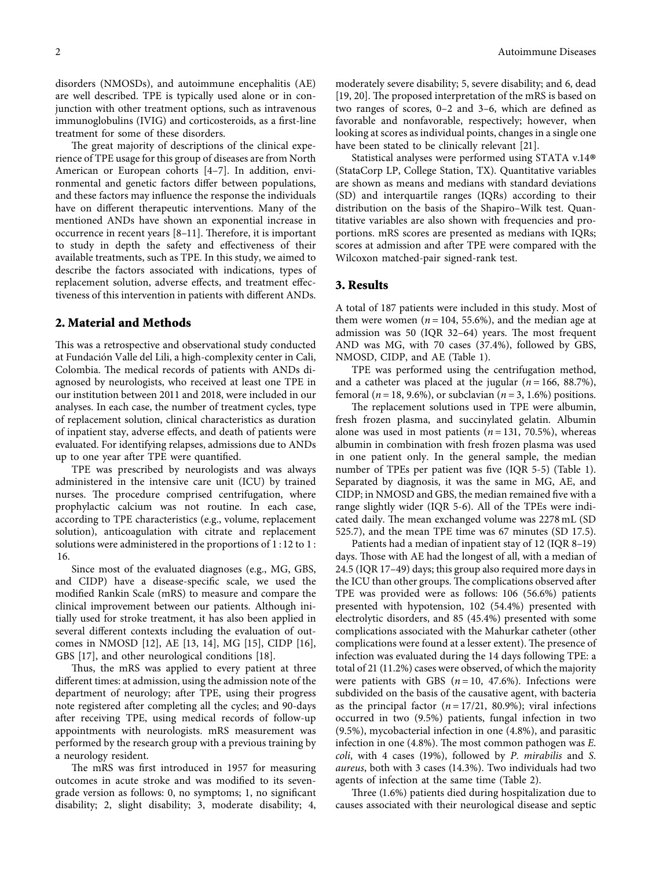disorders (NMOSDs), and autoimmune encephalitis (AE) are well described. TPE is typically used alone or in conjunction with other treatment options, such as intravenous immunoglobulins (IVIG) and corticosteroids, as a first-line treatment for some of these disorders.

The great majority of descriptions of the clinical experience of TPE usage for this group of diseases are from North American or European cohorts [[4–7\]](#page-4-0). In addition, environmental and genetic factors differ between populations, and these factors may influence the response the individuals have on different therapeutic interventions. Many of the mentioned ANDs have shown an exponential increase in occurrence in recent years  $[8-11]$  $[8-11]$ . Therefore, it is important to study in depth the safety and effectiveness of their available treatments, such as TPE. In this study, we aimed to describe the factors associated with indications, types of replacement solution, adverse effects, and treatment effectiveness of this intervention in patients with different ANDs.

#### **2. Material and Methods**

This was a retrospective and observational study conducted at Fundación Valle del Lili, a high-complexity center in Cali, Colombia. The medical records of patients with ANDs diagnosed by neurologists, who received at least one TPE in our institution between 2011 and 2018, were included in our analyses. In each case, the number of treatment cycles, type of replacement solution, clinical characteristics as duration of inpatient stay, adverse effects, and death of patients were evaluated. For identifying relapses, admissions due to ANDs up to one year after TPE were quantified.

TPE was prescribed by neurologists and was always administered in the intensive care unit (ICU) by trained nurses. The procedure comprised centrifugation, where prophylactic calcium was not routine. In each case, according to TPE characteristics (e.g., volume, replacement solution), anticoagulation with citrate and replacement solutions were administered in the proportions of 1 :12 to 1 : 16.

Since most of the evaluated diagnoses (e.g., MG, GBS, and CIDP) have a disease-specific scale, we used the modified Rankin Scale (mRS) to measure and compare the clinical improvement between our patients. Although initially used for stroke treatment, it has also been applied in several different contexts including the evaluation of outcomes in NMOSD [\[12](#page-5-0)], AE [[13, 14](#page-5-0)], MG [\[15](#page-5-0)], CIDP [\[16](#page-5-0)], GBS [\[17](#page-5-0)], and other neurological conditions [\[18](#page-5-0)].

Thus, the mRS was applied to every patient at three different times: at admission, using the admission note of the department of neurology; after TPE, using their progress note registered after completing all the cycles; and 90-days after receiving TPE, using medical records of follow-up appointments with neurologists. mRS measurement was performed by the research group with a previous training by a neurology resident.

The mRS was first introduced in 1957 for measuring outcomes in acute stroke and was modified to its sevengrade version as follows: 0, no symptoms; 1, no significant disability; 2, slight disability; 3, moderate disability; 4,

moderately severe disability; 5, severe disability; and 6, dead [\[19](#page-5-0), [20\]](#page-5-0). The proposed interpretation of the mRS is based on two ranges of scores, 0–2 and 3–6, which are defined as favorable and nonfavorable, respectively; however, when looking at scores as individual points, changes in a single one have been stated to be clinically relevant [\[21](#page-5-0)].

Statistical analyses were performed using STATA v.14® (StataCorp LP, College Station, TX). Quantitative variables are shown as means and medians with standard deviations (SD) and interquartile ranges (IQRs) according to their distribution on the basis of the Shapiro–Wilk test. Quantitative variables are also shown with frequencies and proportions. mRS scores are presented as medians with IQRs; scores at admission and after TPE were compared with the Wilcoxon matched-pair signed-rank test.

#### **3. Results**

A total of 187 patients were included in this study. Most of them were women ( $n = 104$ , 55.6%), and the median age at admission was 50 (IQR  $32-64$ ) years. The most frequent AND was MG, with 70 cases (37.4%), followed by GBS, NMOSD, CIDP, and AE (Table [1](#page-2-0)).

TPE was performed using the centrifugation method, and a catheter was placed at the jugular  $(n = 166, 88.7\%)$ , femoral ( $n = 18, 9.6\%$ ), or subclavian ( $n = 3, 1.6\%$ ) positions.

The replacement solutions used in TPE were albumin, fresh frozen plasma, and succinylated gelatin. Albumin alone was used in most patients  $(n = 131, 70.5\%)$ , whereas albumin in combination with fresh frozen plasma was used in one patient only. In the general sample, the median number of TPEs per patient was five (IQR 5-5) (Table [1](#page-2-0)). Separated by diagnosis, it was the same in MG, AE, and CIDP; in NMOSD and GBS, the median remained five with a range slightly wider (IQR 5-6). All of the TPEs were indicated daily. The mean exchanged volume was 2278 mL (SD 525.7), and the mean TPE time was 67 minutes (SD 17.5).

Patients had a median of inpatient stay of 12 (IQR 8–19) days. Those with AE had the longest of all, with a median of 24.5 (IQR 17–49) days; this group also required more days in the ICU than other groups. The complications observed after TPE was provided were as follows: 106 (56.6%) patients presented with hypotension, 102 (54.4%) presented with electrolytic disorders, and 85 (45.4%) presented with some complications associated with the Mahurkar catheter (other complications were found at a lesser extent). The presence of infection was evaluated during the 14 days following TPE: a total of 21 (11.2%) cases were observed, of which the majority were patients with GBS  $(n = 10, 47.6\%)$ . Infections were subdivided on the basis of the causative agent, with bacteria as the principal factor  $(n = 17/21, 80.9\%)$ ; viral infections occurred in two (9.5%) patients, fungal infection in two (9.5%), mycobacterial infection in one (4.8%), and parasitic infection in one (4.8%). The most common pathogen was *E*. *coli*, with 4 cases (19%), followed by *P*. *mirabilis* and *S*. *aureus*, both with 3 cases (14.3%). Two individuals had two agents of infection at the same time (Table [2\)](#page-3-0).

Three  $(1.6\%)$  patients died during hospitalization due to causes associated with their neurological disease and septic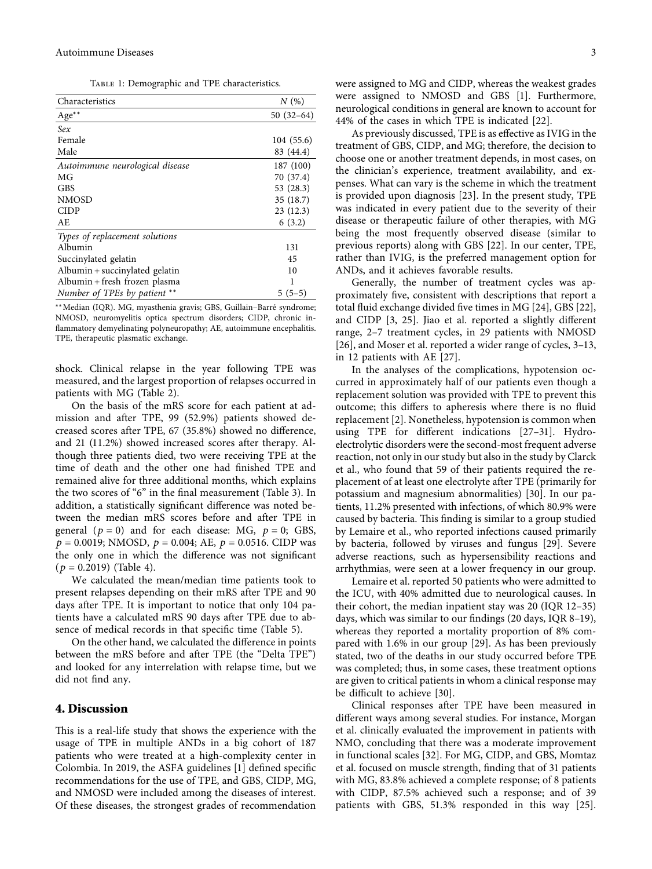Table 1: Demographic and TPE characteristics.

<span id="page-2-0"></span>

| Characteristics                 | N(%)        |
|---------------------------------|-------------|
| Age**                           | $50(32-64)$ |
| Sex                             |             |
| Female                          | 104 (55.6)  |
| Male                            | 83 (44.4)   |
| Autoimmune neurological disease | 187 (100)   |
| MG                              | 70 (37.4)   |
| <b>GBS</b>                      | 53 $(28.3)$ |
| <b>NMOSD</b>                    | 35(18.7)    |
| <b>CIDP</b>                     | 23(12.3)    |
| AE.                             | 6(3.2)      |
| Types of replacement solutions  |             |
| Albumin                         | 131         |
| Succinylated gelatin            | 45          |
| Albumin + succinylated gelatin  | 10          |
| Albumin + fresh frozen plasma   | 1           |
| Number of TPEs by patient **    | $5(5-5)$    |
|                                 |             |

∗∗Median (IQR). MG, myasthenia gravis; GBS, Guillain–Barr´e syndrome; NMOSD, neuromyelitis optica spectrum disorders; CIDP, chronic inflammatory demyelinating polyneuropathy; AE, autoimmune encephalitis. TPE, therapeutic plasmatic exchange.

shock. Clinical relapse in the year following TPE was measured, and the largest proportion of relapses occurred in patients with MG (Table [2](#page-3-0)).

On the basis of the mRS score for each patient at admission and after TPE, 99 (52.9%) patients showed decreased scores after TPE, 67 (35.8%) showed no difference, and 21 (11.2%) showed increased scores after therapy. Although three patients died, two were receiving TPE at the time of death and the other one had finished TPE and remained alive for three additional months, which explains the two scores of "6" in the final measurement (Table [3\)](#page-3-0). In addition, a statistically significant difference was noted between the median mRS scores before and after TPE in general  $(p = 0)$  and for each disease: MG,  $p = 0$ ; GBS,  $p = 0.0019$ ; NMOSD,  $p = 0.004$ ; AE,  $p = 0.0516$ . CIDP was the only one in which the difference was not significant  $(p = 0.2019)$  (Table [4\)](#page-3-0).

We calculated the mean/median time patients took to present relapses depending on their mRS after TPE and 90 days after TPE. It is important to notice that only 104 patients have a calculated mRS 90 days after TPE due to absence of medical records in that specific time (Table [5](#page-4-0)).

On the other hand, we calculated the difference in points between the mRS before and after TPE (the "Delta TPE") and looked for any interrelation with relapse time, but we did not find any.

#### **4. Discussion**

This is a real-life study that shows the experience with the usage of TPE in multiple ANDs in a big cohort of 187 patients who were treated at a high-complexity center in Colombia. In 2019, the ASFA guidelines [[1](#page-4-0)] defined specific recommendations for the use of TPE, and GBS, CIDP, MG, and NMOSD were included among the diseases of interest. Of these diseases, the strongest grades of recommendation

were assigned to MG and CIDP, whereas the weakest grades were assigned to NMOSD and GBS [[1](#page-4-0)]. Furthermore, neurological conditions in general are known to account for 44% of the cases in which TPE is indicated [[22](#page-5-0)].

As previously discussed, TPE is as effective as IVIG in the treatment of GBS, CIDP, and MG; therefore, the decision to choose one or another treatment depends, in most cases, on the clinician's experience, treatment availability, and expenses. What can vary is the scheme in which the treatment is provided upon diagnosis [[23](#page-5-0)]. In the present study, TPE was indicated in every patient due to the severity of their disease or therapeutic failure of other therapies, with MG being the most frequently observed disease (similar to previous reports) along with GBS [[22](#page-5-0)]. In our center, TPE, rather than IVIG, is the preferred management option for ANDs, and it achieves favorable results.

Generally, the number of treatment cycles was approximately five, consistent with descriptions that report a total fluid exchange divided five times in MG [\[24\]](#page-5-0), GBS [[22](#page-5-0)], and CIDP [[3,](#page-4-0) [25\]](#page-5-0). Jiao et al. reported a slightly different range, 2–7 treatment cycles, in 29 patients with NMOSD [\[26\]](#page-5-0), and Moser et al. reported a wider range of cycles, 3–13, in 12 patients with AE [[27](#page-5-0)].

In the analyses of the complications, hypotension occurred in approximately half of our patients even though a replacement solution was provided with TPE to prevent this outcome; this differs to apheresis where there is no fluid replacement [[2\]](#page-4-0). Nonetheless, hypotension is common when using TPE for different indications [[27](#page-5-0)–[31\]](#page-5-0). Hydroelectrolytic disorders were the second-most frequent adverse reaction, not only in our study but also in the study by Clarck et al., who found that 59 of their patients required the replacement of at least one electrolyte after TPE (primarily for potassium and magnesium abnormalities) [\[30](#page-5-0)]. In our patients, 11.2% presented with infections, of which 80.9% were caused by bacteria. This finding is similar to a group studied by Lemaire et al., who reported infections caused primarily by bacteria, followed by viruses and fungus [\[29\]](#page-5-0). Severe adverse reactions, such as hypersensibility reactions and arrhythmias, were seen at a lower frequency in our group.

Lemaire et al. reported 50 patients who were admitted to the ICU, with 40% admitted due to neurological causes. In their cohort, the median inpatient stay was 20 (IQR 12–35) days, which was similar to our findings (20 days, IQR 8–19), whereas they reported a mortality proportion of 8% compared with 1.6% in our group [\[29\]](#page-5-0). As has been previously stated, two of the deaths in our study occurred before TPE was completed; thus, in some cases, these treatment options are given to critical patients in whom a clinical response may be difficult to achieve [[30](#page-5-0)].

Clinical responses after TPE have been measured in different ways among several studies. For instance, Morgan et al. clinically evaluated the improvement in patients with NMO, concluding that there was a moderate improvement in functional scales [\[32\]](#page-5-0). For MG, CIDP, and GBS, Momtaz et al. focused on muscle strength, finding that of 31 patients with MG, 83.8% achieved a complete response; of 8 patients with CIDP, 87.5% achieved such a response; and of 39 patients with GBS, 51.3% responded in this way [[25](#page-5-0)].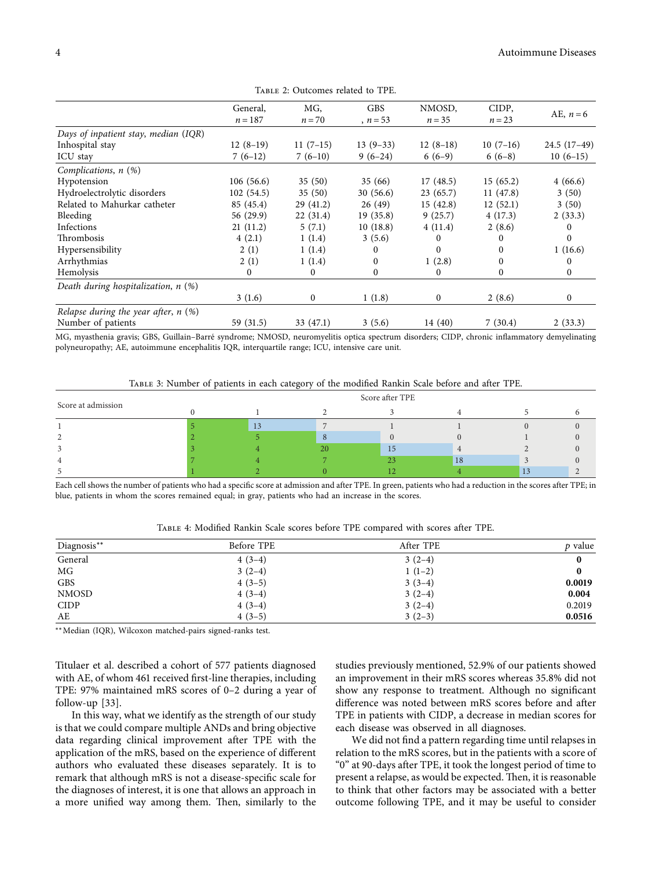<span id="page-3-0"></span>

|                                        | General,     | MG,          | <b>GBS</b>   | NMOSD,     | CIDP,      |               |
|----------------------------------------|--------------|--------------|--------------|------------|------------|---------------|
|                                        | $n = 187$    | $n = 70$     | $n = 53$     | $n = 35$   | $n = 23$   | AE, $n=6$     |
| Days of inpatient stay, median (IQR)   |              |              |              |            |            |               |
| Inhospital stay                        | $12(8-19)$   | $11(7-15)$   | $13(9-33)$   | $12(8-18)$ | $10(7-16)$ | $24.5(17-49)$ |
| ICU stay                               | $7(6-12)$    | $7(6-10)$    | $9(6-24)$    | $6(6-9)$   | $6(6-8)$   | $10(6-15)$    |
| Complications, n (%)                   |              |              |              |            |            |               |
| Hypotension                            | 106(56.6)    | 35(50)       | 35(66)       | 17(48.5)   | 15(65.2)   | 4(66.6)       |
| Hydroelectrolytic disorders            | 102(54.5)    | 35(50)       | 30(56.6)     | 23(65.7)   | 11 (47.8)  | 3(50)         |
| Related to Mahurkar catheter           | 85 (45.4)    | 29(41.2)     | 26(49)       | 15(42.8)   | 12(52.1)   | 3(50)         |
| Bleeding                               | 56 (29.9)    | 22(31.4)     | 19(35.8)     | 9(25.7)    | 4(17.3)    | 2(33.3)       |
| Infections                             | 21(11.2)     | 5(7.1)       | 10(18.8)     | 4(11.4)    | 2(8.6)     | $^{(1)}$      |
| Thrombosis                             | 4(2.1)       | 1(1.4)       | 3(5.6)       | $\Omega$   | 0          | 0             |
| Hypersensibility                       | 2(1)         | 1(1.4)       | $\Omega$     | 0          |            | 1(16.6)       |
| Arrhythmias                            | 2(1)         | 1(1.4)       | $\mathbf{0}$ | 1(2.8)     | 0          | $^{(1)}$      |
| Hemolysis                              | $\mathbf{0}$ | $\mathbf{0}$ | $\mathbf{0}$ | $\Omega$   | 0          | $\mathbf{0}$  |
| Death during hospitalization, n (%)    |              |              |              |            |            |               |
|                                        | 3(1.6)       | $\mathbf{0}$ | 1(1.8)       | $\theta$   | 2(8.6)     | $\Omega$      |
| Relapse during the year after, $n$ (%) |              |              |              |            |            |               |
| Number of patients                     | 59 (31.5)    | 33(47.1)     | 3(5.6)       | 14 (40)    | 7(30.4)    | 2(33.3)       |

Table 2: Outcomes related to TPE.

MG, myasthenia gravis; GBS, Guillain-Barré syndrome; NMOSD, neuromyelitis optica spectrum disorders; CIDP, chronic inflammatory demyelinating polyneuropathy; AE, autoimmune encephalitis IQR, interquartile range; ICU, intensive care unit.

Table 3: Number of patients in each category of the modified Rankin Scale before and after TPE.

| Score at admission | Score after TPE |    |                |    |  |  |  |
|--------------------|-----------------|----|----------------|----|--|--|--|
|                    |                 |    |                |    |  |  |  |
|                    | <b>IJ</b>       |    |                |    |  |  |  |
|                    |                 |    |                |    |  |  |  |
|                    |                 | 20 | 15             |    |  |  |  |
|                    |                 |    | 2 <sup>3</sup> | 18 |  |  |  |
|                    |                 |    |                |    |  |  |  |

Each cell shows the number of patients who had a specific score at admission and after TPE. In green, patients who had a reduction in the scores after TPE; in blue, patients in whom the scores remained equal; in gray, patients who had an increase in the scores.

| Diagnosis**  | Before TPE | After TPE | p value |
|--------------|------------|-----------|---------|
| General      | $4(3-4)$   | $3(2-4)$  | 0       |
| MG           | $3(2-4)$   | $1(1-2)$  |         |
| <b>GBS</b>   | $4(3-5)$   | $3(3-4)$  | 0.0019  |
| <b>NMOSD</b> | $4(3-4)$   | $3(2-4)$  | 0.004   |
| <b>CIDP</b>  | $4(3-4)$   | $3(2-4)$  | 0.2019  |
| AE           | $4(3-5)$   | $3(2-3)$  | 0.0516  |

Table 4: Modified Rankin Scale scores before TPE compared with scores after TPE.

∗∗Median (IQR), Wilcoxon matched-pairs signed-ranks test.

Titulaer et al. described a cohort of 577 patients diagnosed with AE, of whom 461 received first-line therapies, including TPE: 97% maintained mRS scores of 0–2 during a year of follow-up [[33](#page-5-0)].

In this way, what we identify as the strength of our study is that we could compare multiple ANDs and bring objective data regarding clinical improvement after TPE with the application of the mRS, based on the experience of different authors who evaluated these diseases separately. It is to remark that although mRS is not a disease-specific scale for the diagnoses of interest, it is one that allows an approach in a more unified way among them. Then, similarly to the

studies previously mentioned, 52.9% of our patients showed an improvement in their mRS scores whereas 35.8% did not show any response to treatment. Although no significant difference was noted between mRS scores before and after TPE in patients with CIDP, a decrease in median scores for each disease was observed in all diagnoses.

We did not find a pattern regarding time until relapses in relation to the mRS scores, but in the patients with a score of "0" at 90-days after TPE, it took the longest period of time to present a relapse, as would be expected. Then, it is reasonable to think that other factors may be associated with a better outcome following TPE, and it may be useful to consider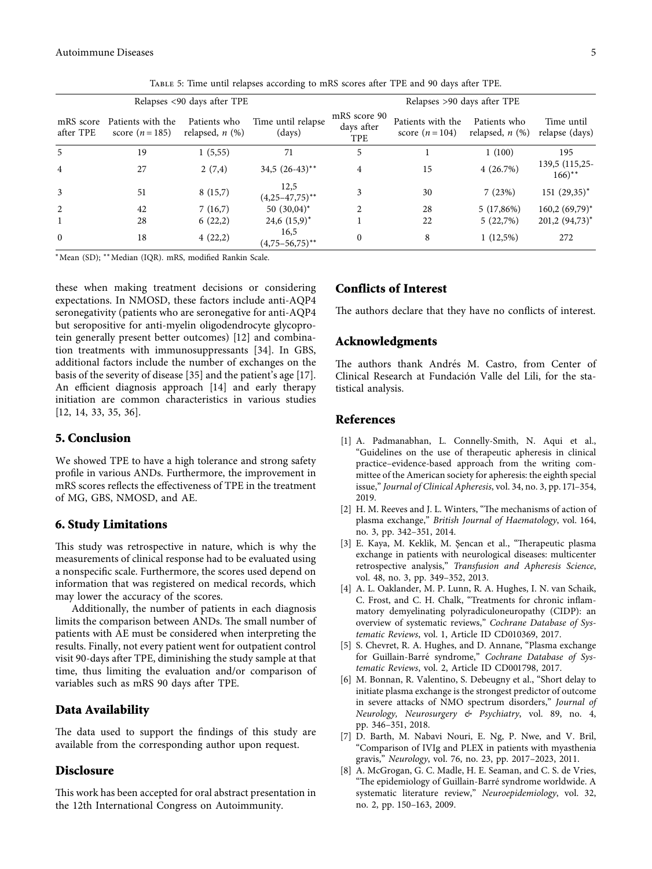<span id="page-4-0"></span>

| Relapses <90 days after TPE |                                      |                                      |                                        | Relapses >90 days after TPE              |                                      |                                      |                                       |  |
|-----------------------------|--------------------------------------|--------------------------------------|----------------------------------------|------------------------------------------|--------------------------------------|--------------------------------------|---------------------------------------|--|
| mRS score<br>after TPE      | Patients with the<br>score $(n=185)$ | Patients who<br>relapsed, $n$ $(\%)$ | Time until relapse<br>$\frac{days}{9}$ | mRS score 90<br>days after<br><b>TPE</b> | Patients with the<br>score $(n=104)$ | Patients who<br>relapsed, $n$ $(\%)$ | Time until<br>relapse (days)          |  |
| 5                           | 19                                   | 1(5,55)                              | 71                                     | 5                                        |                                      | 1(100)                               | 195                                   |  |
| $\overline{4}$              | 27                                   | 2(7,4)                               | 34,5 $(26-43)$ **                      | 4                                        | 15                                   | 4(26.7%)                             | 139,5 (115,25-<br>$166$ <sup>**</sup> |  |
| 3                           | 51                                   | 8(15,7)                              | 12,5<br>$(4,25-47,75)$ **              | 3                                        | 30                                   | 7(23%)                               | $151 (29,35)^*$                       |  |
| 2                           | 42                                   | 7(16,7)                              | $50(30,04)^*$                          | $\mathfrak{D}$                           | 28                                   | $5(17,86\%)$                         | $160,2(69,79)$ *                      |  |
|                             | 28                                   | 6(22,2)                              | $24,6$ $(15,9)^*$                      |                                          | 22                                   | 5(22,7%)                             | $201,2(94,73)$ *                      |  |
| $\mathbf{0}$                | 18                                   | 4(22,2)                              | 16,5<br>$(4,75-56,75)$ **              | 0                                        | 8                                    | $1(12,5\%)$                          | 272                                   |  |

Table 5: Time until relapses according to mRS scores after TPE and 90 days after TPE.

<sup>∗</sup>Mean (SD); ∗∗Median (IQR). mRS, modified Rankin Scale.

these when making treatment decisions or considering expectations. In NMOSD, these factors include anti-AQP4 seronegativity (patients who are seronegative for anti-AQP4 but seropositive for anti-myelin oligodendrocyte glycoprotein generally present better outcomes) [\[12](#page-5-0)] and combination treatments with immunosuppressants [\[34\]](#page-5-0). In GBS, additional factors include the number of exchanges on the basis of the severity of disease [\[35\]](#page-5-0) and the patient's age [\[17](#page-5-0)]. An efficient diagnosis approach [\[14](#page-5-0)] and early therapy initiation are common characteristics in various studies [\[12](#page-5-0), [14, 33, 35, 36](#page-5-0)].

#### **5. Conclusion**

We showed TPE to have a high tolerance and strong safety profile in various ANDs. Furthermore, the improvement in mRS scores reflects the effectiveness of TPE in the treatment of MG, GBS, NMOSD, and AE.

#### **6. Study Limitations**

This study was retrospective in nature, which is why the measurements of clinical response had to be evaluated using a nonspecific scale. Furthermore, the scores used depend on information that was registered on medical records, which may lower the accuracy of the scores.

Additionally, the number of patients in each diagnosis limits the comparison between ANDs. The small number of patients with AE must be considered when interpreting the results. Finally, not every patient went for outpatient control visit 90-days after TPE, diminishing the study sample at that time, thus limiting the evaluation and/or comparison of variables such as mRS 90 days after TPE.

#### **Data Availability**

The data used to support the findings of this study are available from the corresponding author upon request.

#### **Disclosure**

This work has been accepted for oral abstract presentation in the 12th International Congress on Autoimmunity.

#### **Conflicts of Interest**

The authors declare that they have no conflicts of interest.

#### **Acknowledgments**

The authors thank Andrés M. Castro, from Center of Clinical Research at Fundación Valle del Lili, for the statistical analysis.

#### **References**

- [1] A. Padmanabhan, L. Connelly-Smith, N. Aqui et al., "Guidelines on the use of therapeutic apheresis in clinical practice–evidence-based approach from the writing committee of the American society for apheresis: the eighth special issue," *Journal of Clinical Apheresis*, vol. 34, no. 3, pp. 171–354, 2019.
- [2] H. M. Reeves and J. L. Winters, "The mechanisms of action of plasma exchange," *British Journal of Haematology*, vol. 164, no. 3, pp. 342–351, 2014.
- [3] E. Kaya, M. Keklik, M. Şencan et al., "Therapeutic plasma exchange in patients with neurological diseases: multicenter retrospective analysis," *Transfusion and Apheresis Science*, vol. 48, no. 3, pp. 349–352, 2013.
- [4] A. L. Oaklander, M. P. Lunn, R. A. Hughes, I. N. van Schaik, C. Frost, and C. H. Chalk, "Treatments for chronic inflammatory demyelinating polyradiculoneuropathy (CIDP): an overview of systematic reviews," *Cochrane Database of Systematic Reviews*, vol. 1, Article ID CD010369, 2017.
- [5] S. Chevret, R. A. Hughes, and D. Annane, "Plasma exchange for Guillain-Barré syndrome," Cochrane Database of Sys*tematic Reviews*, vol. 2, Article ID CD001798, 2017.
- [6] M. Bonnan, R. Valentino, S. Debeugny et al., "Short delay to initiate plasma exchange is the strongest predictor of outcome in severe attacks of NMO spectrum disorders," *Journal of Neurology, Neurosurgery & Psychiatry*, vol. 89, no. 4, pp. 346–351, 2018.
- [7] D. Barth, M. Nabavi Nouri, E. Ng, P. Nwe, and V. Bril, "Comparison of IVIg and PLEX in patients with myasthenia gravis," *Neurology*, vol. 76, no. 23, pp. 2017–2023, 2011.
- [8] A. McGrogan, G. C. Madle, H. E. Seaman, and C. S. de Vries, "The epidemiology of Guillain-Barré syndrome worldwide. A systematic literature review," *Neuroepidemiology*, vol. 32, no. 2, pp. 150–163, 2009.